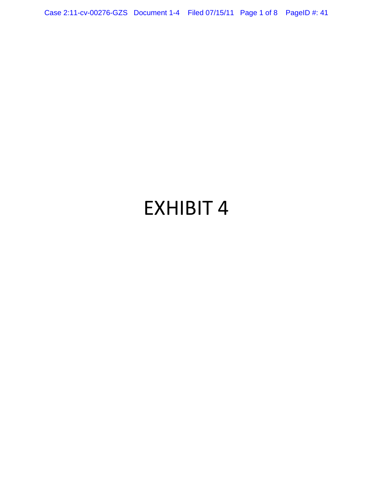Case 2:11-cv-00276-GZS Document 1-4 Filed 07/15/11 Page 1 of 8 PageID #: 41

# EXHIBIT 4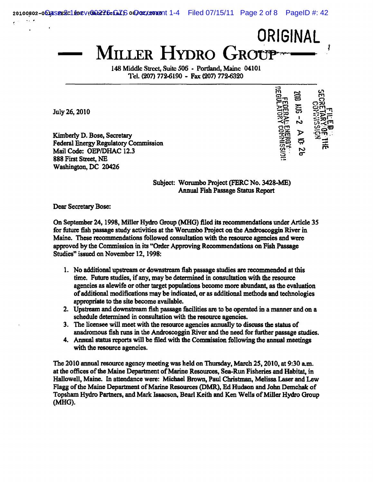MILLER HYDRO GROUP

148 Middle Street, Suite 506 - Portland, Maine 04101 Tel. (207) 772-6190 - Fax (207) 772-6320

July 26, 2010

Kimberly D. Bose, Secretary Federal Energy Regulatory Commission Mail Code: OEP/DHAC 12.3 888 First Street, NE Washington, DC 20426

ូ<br>ទា දූ

**ORIGINAL** 

Subject: Wonunbo Project (PERC No. 3428-ME) Annual Fish Passage Status Report

Dear Secretary Bose:

On September 24, 1998, Miller Hydro Group (MHO) filed its recommendations under Article 3S for future fisb passage study activities at the Worumbo Project on the Androscoggin River in Maine. These recommendations followed consultation with the resource agencies and were approved by the Commission in its "Order Approving Recommendations on Fish Passage Studies" issued on November 12,1998:

- 1. No additional upstream or downstream fish passage studies are recommended at this time. Future studies, if any, may be determined in consultation with the resource agencies as alewife or other target populations become more abundant, as the evaluation of additional modifications may be indicated, or as additional methods and technologies appropriate to the site become available.
- 2. Upstream and downstream fish passage facilities are to be operated in a manner and on a schedule detennined in consultation with the resource agencies.
- 3. The licensee will meet with the resource agencies annually to discuss the status of anadromous fish runs in the Androscoggin River and the need for further passage studies.
- 4. Annual status reports will be filed with the Commission following the annual meetings with the resource agencies.

The 2010 annual resource agency meeting was held on Thursday, March 25,2010, at 9:30 a.m. at the offices of the Maine Department of Marine Resources, Sea-Run Fisheries and Habitat, in Hallowell, Maine. In attendance were: Michael Brown, Paul Christman, Melissa Laser and Lew Flagg of the Maine Department of Marine Resources (DMR), Ed Hudson and John Demchak of Topsham Hydro Partners, and Mark Isaacson, Bead Keith and Ken Wells of Miller Hydro Group (MHO).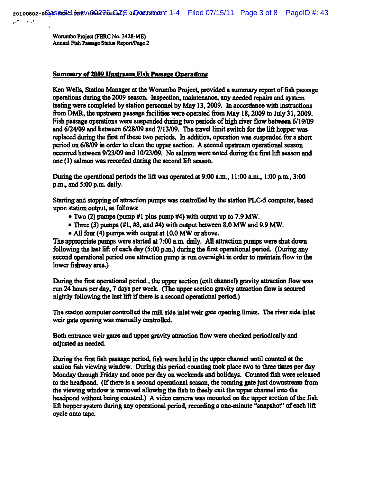Worumbo Project (FERC No. 3428-ME) Annual Fish Passage Status Report/Page 2

#### Summary of 2009 Upstream Fish Passage Operations

Ken Wells, Station Manager at the Worumbo Project, provided a summary report of fish passage operations dming the 2009 season. Inspection, maintenance, any needed repairs and system testing were completed by station personnel by May 13, 2009. In accordance with instructions from DMR, the upstream passage facilities were operated from May 18, 2009 to July 31, 2009. Fish passage operations were suspended during two periods of high river flow between *6/19/09*  and *6124109* and between *6128/09* and *7113/09.* The travel limit switch for the lift hopper was replaced during the first of these two periods. In addition, operation was suspended for a short period on 6/8/09 in order to clean the upper section. A second upstream operational season occurred between 9/23/09 and 10/23/09. No salmon were noted during the first lift season and one (1) salmon was recorded during the second lift season.

During the operational periods the lift was operated at 9:00 a.m., 11:00 a.m., 1 :00 p.m., 3:00 p.m., and 5:00 p.m. daily.

Starting and stopping of attraction purnos was controlled by the station PLC-5 computer, based upon station output, as follows:

- Two (2) pumps (pump #1 plus pump #4) with output up to 7.9 MW.
- Three (3) pumps (#1, #3, and #4) with output between 8.0 MW and 9.9 MW.
- All four (4) pumps with output at 10.0 MW or above.

The appropriate pumps were started at 7:00 a.m. daily. All attraction pumps were shut down following the last lift of each day (5:00 p.m.) during the first operational period. (During any second operational period one attraction pump is run overnight in order to maintain flow in the lower fishway area.)

During the first operational period, the upper section (exit channel) gravity attraction flow was run 24 hours per day, 7 days per week. (The upper section gravity attraction flow is secured nightly following the last lift if there is a second operational period)

The station computer controlled the mill side inlet weir gate opening limits. The river side inlet weir gate opening was manually controlled.

Both entrance weir gates and upper gravity attraction flow were checked periodically and adjusted as needed.

During the first fish passage period, fish were held in the upper channel until counted at the station fish viewing window. During this period counting took place two to three times per day Monday through Friday and once per day on weekends and holidays. Counted fish were released to the headpond. (If there is a second operational season, the rotating gate just downstream from the viewiog window is removed allowing the fish to freely exit the upper channel into the headpond without being counted.) A video camera was mounted on the upper section of the fish lift hopper system during any operational period, recording a one-minute "snapshot" of each lift cycle onto tape.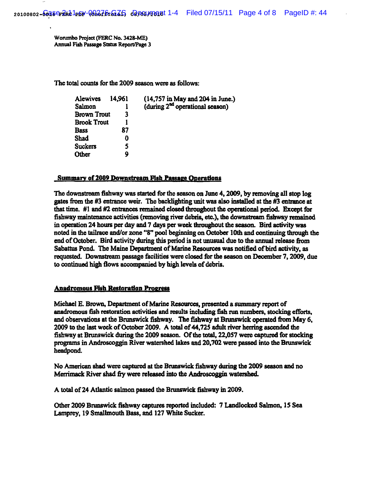Worumbo Project (FERC No. 3428-ME) Annual Fish Passage Status Report/Page 3

The total counts for the 2009 season were as follows:

| Alewives           | 14,961 | $(14,757 \text{ in May and } 204 \text{ in June.})$ |
|--------------------|--------|-----------------------------------------------------|
| Salmon             |        | (during $2^{nd}$ operational season)                |
| <b>Brown Trout</b> | 3      |                                                     |
| <b>Brook Trout</b> |        |                                                     |
| <b>Bass</b>        | 87     |                                                     |
| Shad               | o      |                                                     |
| <b>Suckers</b>     | 5      |                                                     |
| Other              | Q      |                                                     |

#### Summary of 2009 Downstream Fish Passage Operations

The downstream fishway was started for the season on June 4, 2009, by removing all stop log gates from the #3 entrance weir. The backlighting unit was also installed at the #3 entrance at that time. #1 and #2 entrances remained closed throughout the operational period. Except for fishway maintenance activities (removing river debris, etc.), the downstream fisbway remained in operation 24 hours per day and 7 days per week throughout the season. Bird activity was noted in the tailrace and/or zone "8" pool beginning on October 10th and continuing through the end of October. Bird activity during this period is not unusual due to the annual release from Sabattus Pond. The Maine Department of Marine Resources was notified of bird activity, as requested. Downstream passage facilities were closed for the season on December 7, 2009. due to continued high flows accompanied by high levels of debris.

# Anadromous Fish Restoration Progress

Michael E. Brown, Department of Marine Rcsomccs, presented a summary report of anadromous fish restoration activities and results including fish run numbers, stocking efforts, and observations at the Brunswick fishway. The fishway at Brunswick operated from May 6, 2009 to the last week of October 2009. A total of 44,725 adult river herring ascended the fishwayat Brunswick during the 2009 season. Of the total, 22,057 were captured for stocking programs in Androscoggin River watershed lakes and 20,702 were passed into the Brunswick headpond.

No American shad were captured at the Brunswick fishway during the 2009 season and no Merrimack River shad fry were released into the Androscoggin watershed.

A total of 24 Atlantic salmon passed the Brunswick fishway in 2009.

Other 2009 Bnmswick fishway captures reported included: 7 Landlocked Sahnon, 15 Sea Lamprey, 19 Sma11mouth Bass. and 127 White Sucker.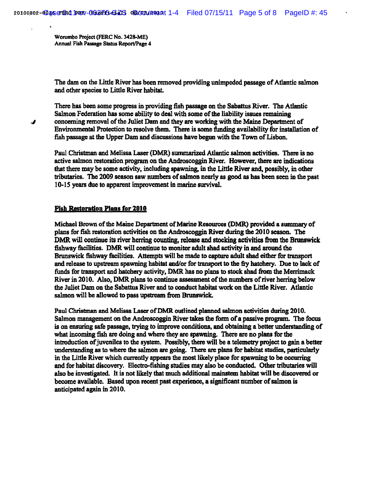Worumbo Project (FBRC No. 3428-ME) Annual Fish Passage Status Report/Page 4

The dam on the Little River has been removed providing unimpeded passage of Atlantic salmon and other species to Little River habitat.

There has been some progress in providing fish passage on the Sabattus River. The Atlantic Salmon Federation has some ability to deal with some of the liability issues remaining concerning removal of the Juliet Dam and they are working with the Maine Department of Environmental Protection to resolve them. There is some funding availability for installation of fish passage at the Upper Dam and discussions have begun with the Town of Lisbon.

Paul Christman and Melissa Laser (DMR) summarized Atlantic salmon activities. There is no active salmon restoration program on the Androscoggin River. However, there are indications that there may be some activity, including spawning, in the Little River and, possibly, in other tributaries. The 2009 season saw numbers of salmon nearly as good as has been seen in the past 10-15 years due to apparent improvement in marine survival.

# Fish Restoration Plans for 2010

Michael Brown of the Maine Department of Marine Resources (DMR.) provided a summary of plans for fish restoration activities on the Androscoggin River during the 2010 season. The DMR will continue its river herring counting, release and stocking activities from the Bnmswick fishway facilities. DMR will continue to monitor adult shad activity in and around the Brunswick fishway facilities. Attempts will be made to capture adult shad either for transport and release to upstream spawning habitat and/or for transport to the fiy hatchery. Due to lack of funds for transport and hatchery activity, DMR has no plans to stock shad from the Merrimack River in 2010. Also, DMR plans to continue assessment of the numbers of river herring below the Juliet Dam on the Sabattus River and to conduct habitat work on the Little River. Atlantic salmon will be allowed to pass upstream from Brunswick.

Paul Christman and Melissa Laser of DMR outlined planned salmon activities during 2010. Salmon management on the Androscoggin River takes the form of a passive program. The focus is on ensuring safe passage, trying to improve conditions. and obtaining a better understanding of what incoming fish are doing and where they are spawning. There are no plans for the introduction of juveniles to the system. Possibly, there will be a telemetry project to gain a better understanding as to where the salmon are going. There are plans for habitat studies, particularly in the Little River which currently appears the most likely place for spawning to be occurring and for habitat discovery. Electro-fishing studies may also be conducted. Other tributaries will also be investigated. It is not likely that much additional mainstem habitat will be discovered or become available. Based upon recent past experience, a significant number of salmon is anticipated again in 2010.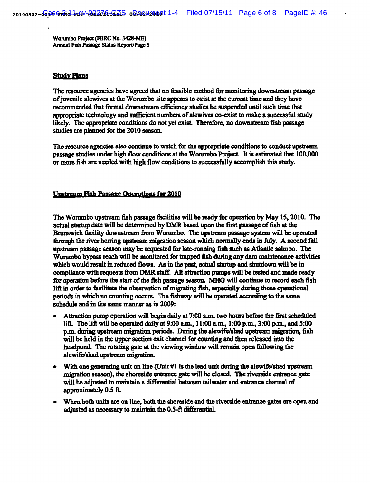Wonunbo Projoct (FERC No. 3428-ME) Annual Fish Passage Status ReportlPagc *S* 

#### Study Plans

The resource agencies have agreed that no feasible method for monitoring downstream passage of juvenile alewives at the Worumbo site appears to exist at the current time and they have recommended that formal downstream efficiency studies be suspended until such time that appropriate technology and sufficient numbers of alewives co-exist to make a successful study likely. The appropriate conditions do not yet exist. Therefore, no downstream fish passage studies are planned for the 2010 season.

The resource agencies also continue to watch for the appropriate conditions to conduct upstream passage studies under high flow conditions at the Worumbo Project. It is estimated that 100,000 or more fish are needed with high flow conditions to successfully accomplish this study.

# Upstream Fish Passage Operations for 2010

The Worumbo upstream fish passage facilities will be ready for operation by May 15,2010. The actual startup date will be determined by DMR based upon the first passage of fish at the Brunswick facility downstream from Worumbo. The upstream passage system will be operated through the river herring upstream migration season which nonnalIy ends in July. A second fall upstream passage season may be requested for 1ate-nmning fish such as Atlantic salmon. The Worumbo bypass reach will be monitored for trapped fish during any dam maintenance activities which would result in reduced flows. As in the past, actual startup and shutdown will be in compliance with requests from DMR staff. All attraction pumps will be tested and made ready for operation before the start of the fish passage season. MHO will continue to record each fish lift in order to facilitate the observation of migrating fish, especially during those operational periods in which no counting occurs. The fishway will be operated according to the same schedule and in the same manner as in 2009:

- Attraction pump operation will begin daily at 7:00 a.m. two hours before the first scheduled lift. The lift will be operated daily at 9:00 a.m., 11 :00 a.m., 1 :00 p.m., 3:00 p.m., and 5:00 p.m. during upstream migration periods. During the alewife/shad upstream migration, fish will be held in the upper section exit channel for counting and then released into the headpond. The rotating gate at the viewing window will remain open following the alewife/shad upstream migration.
- With one generating unit on line (Unit  $\#1$  is the lead unit during the alewife/shad upstream migration season), the shoreside eutrancc gate will be closed. The riverside entrance gate will be adjusted to maintain a differential between tailwater and entrance channel of approximately *0.5* ft.
- When both units are on line, both the shoreside and the riverside entrance gates are open and adjusted as necessary to maintain the 0.5-ft differential.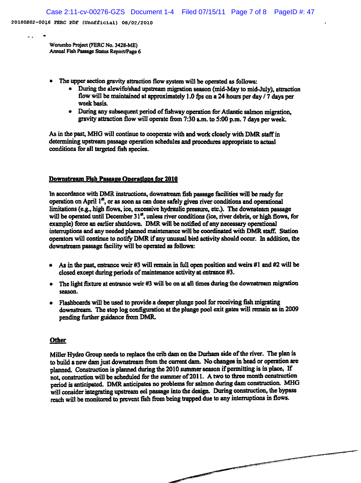-. I •

Worumbo Project (PERC No. 3428.ME) Annual Fish Passage Status Report/Page 6

- The upper section gravity attraction flow system will be operated as follows:
	- During the alewife/shad upstream migration season (mid-May to mid-July), attraction flow will be maintained at approximately 1.0 fps on a 24 hours per day  $/7$  days per week basis.
	- During any subsequent period of fishway operation for Atlantic salmon migration, gravity attraction flow will operate from 7:30 a.m. to 5:00 p.m. 7 days per week.

As in the past, MHO will continue to cooperate with and work closely with DMR staff in determining upstream passage operation schedules and procedures appropriate to actual conditions for al1 targeted fish species.

# Downstream Fish Passage Operations for 2010

In accordance with DMR instructions, downstream fish passage facilities will be ready for operation on April I", or as soon as can done safely given river conditions and operational limitations (e.g., high flows, ice, excessive hydraulic pressure, etc.). The downsteam passage will be operated until December  $31<sup>st</sup>$ , unless river conditions (ice, river debris, or high flows, for example) force an earlier shutdown. DMR will be notified of any necessary operational interruptions and any needed planned maintenance will be coordinated with DMR staff. Station operators will continue to notify DMR if any unusual bird activity should occur. In addition, the downstream passage facility will be operated as follows:

- As in the past, entrance weir #3 will remain in full open position and weirs #1 and #2 will be closed except during periods of maintenance activity at entrance #3.
- The light fixture at entrance weir #3 will be on at all times during the downstream migration season.
- Flashboards will be used to provide a deeper plunge pool for receiving fish migrating downstream. The stop log configuration at the plunge pool exit gates will remain as in 2009 pending further guidance from DMR.

# **Other**

Miller Hydro Group needs to replace the crib dam on the Durham side of the river. The plan is to build a new dam just downstream from the current dam. No changes in head or operation are planned. Construction is planned during the 2010 summer season if permitting is in place. If not, construction will be scheduled for the summer of 2011. A two to three month construction period is anticipated. DMR anticipates no problems for salmon during dam construction. MHG wiIl consider integrating upstream eel passage into the design. During construction, the bypass reach will be monitored to prevent fish from being trapped due to any interruptions in flows .

........ " ............. .